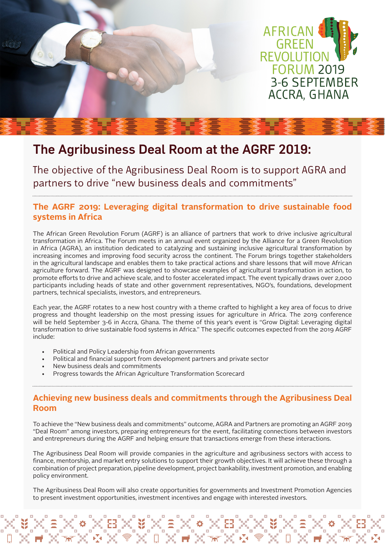

# The Agribusiness Deal Room at the AGRF 2019:

The objective of the Agribusiness Deal Room is to support AGRA and partners to drive "new business deals and commitments"

## **The AGRF 2019: Leveraging digital transformation to drive sustainable food systems in Africa**

The African Green Revolution Forum (AGRF) is an alliance of partners that work to drive inclusive agricultural transformation in Africa. The Forum meets in an annual event organized by the Alliance for a Green Revolution in Africa (AGRA), an institution dedicated to catalyzing and sustaining inclusive agricultural transformation by increasing incomes and improving food security across the continent. The Forum brings together stakeholders in the agricultural landscape and enables them to take practical actions and share lessons that will move African agriculture forward. The AGRF was designed to showcase examples of agricultural transformation in action, to promote efforts to drive and achieve scale, and to foster accelerated impact. The event typically draws over 2,000 participants including heads of state and other government representatives, NGO's, foundations, development partners, technical specialists, investors, and entrepreneurs.

Each year, the AGRF rotates to a new host country with a theme crafted to highlight a key area of focus to drive progress and thought leadership on the most pressing issues for agriculture in Africa. The 2019 conference will be held September 3-6 in Accra, Ghana. The theme of this year's event is "Grow Digital: Leveraging digital transformation to drive sustainable food systems in Africa." The specific outcomes expected from the 2019 AGRF include:

- Political and Policy Leadership from African governments
- Political and financial support from development partners and private sector

- New business deals and commitments
- Progress towards the African Agriculture Transformation Scorecard

## **Achieving new business deals and commitments through the Agribusiness Deal Room**

To achieve the "New business deals and commitments" outcome, AGRA and Partners are promoting an AGRF 2019 "Deal Room" among investors, preparing entrepreneurs for the event, facilitating connections between investors and entrepreneurs during the AGRF and helping ensure that transactions emerge from these interactions.

The Agribusiness Deal Room will provide companies in the agriculture and agribusiness sectors with access to finance, mentorship, and market entry solutions to support their growth objectives. It will achieve these through a combination of project preparation, pipeline development, project bankability, investment promotion, and enabling policy environment.

The Agribusiness Deal Room will also create opportunities for governments and Investment Promotion Agencies to present investment opportunities, investment incentives and engage with interested investors.